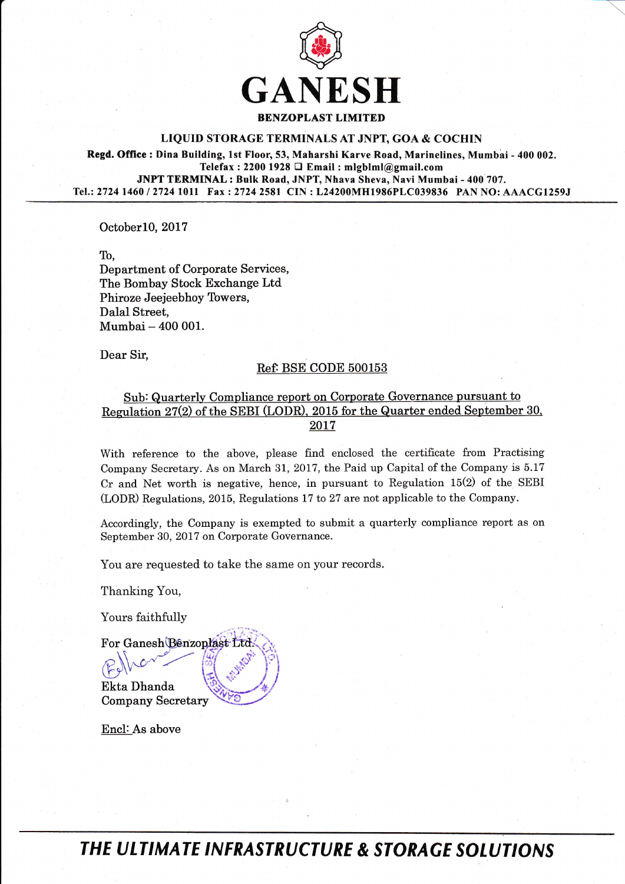

## LIQUID STORAGE TERMINALS AT JNPT, GOA & COCHIN

Regd. Office : Dina Building, 1st Floor, 53, Maharshi Karve Road, Marinelines, Mumbai - 400 002. Telefax : 2200 1928  $\Box$  Email : mlgblml@gmail.com JNPT TERMINAL : Bulk Road, JNPT, Nhava Sheva, Navi Mumbai - 400 707. Tel.:2724 1460 / 27241011 Fax :2724 2581 CIN : L24200MH1986PLC039836 PAN NO: AAACGIzsgJ

OctoberlO,2Ol7

To,

Department of Corporate Services, The Bombay Stock Exchange Ltd Phiroze Jeejeebhoy Towers, Dalal Street, Mumbai - 400 001.

Dear Sir.

## Ref. BSE CODE 500153

## Sub: Quarterly Compliance report on Corporate Governance pursuant to<br>Regulation 27(2) of the SEBI (LODR), 2015 for the Quarter ended September 30, 2017

With reference to the above, please find enclosed the certificate from Practising Company Secretary. As on March 31, 2017, the Paid up Capital of the Company is 5.17 Cr and Net worth is negative, hence, in pursuant to Regulation 15(2) of the SEBI (LODR) Regulations, 2015, Regulations 17 to 27 are not applicable to the Company.

Accordingly, the Company is exempted to submit a quarterly compliance report as on September 30,2017 on Corporate Governance.

You are requested to take the same on your records.

Thanking You,

Yours faithfully

For Ganesh Benzoplast Ltd -/..-

Ekta Dhanda Company Secretary  $\mathbb{E}$ 

Encl: As above

THE ULTIMATE INFRASTRUCTURE & STORAGE SOLUTIONS